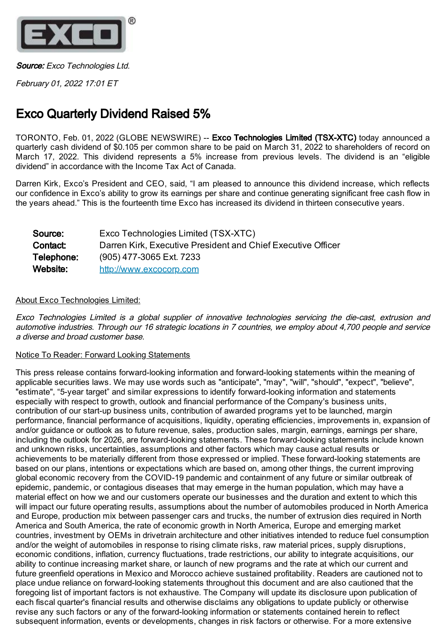

Source: Exco Technologies Ltd.

February 01, 2022 17:01 ET

## Exco Quarterly Dividend Raised 5%

TORONTO, Feb. 01, 2022 (GLOBE NEWSWIRE) -- Exco Technologies Limited (TSX-XTC) today announced a quarterly cash dividend of \$0.105 per common share to be paid on March 31, 2022 to shareholders of record on March 17, 2022. This dividend represents a 5% increase from previous levels. The dividend is an "eligible dividend" in accordance with the Income Tax Act of Canada.

Darren Kirk, Exco's President and CEO, said, "I am pleased to announce this dividend increase, which reflects our confidence in Exco's ability to grow its earnings per share and continue generating significant free cash flow in the years ahead." This is the fourteenth time Exco has increased its dividend in thirteen consecutive years.

| Source:    | Exco Technologies Limited (TSX-XTC)                          |
|------------|--------------------------------------------------------------|
| Contact:   | Darren Kirk, Executive President and Chief Executive Officer |
| Telephone: | (905) 477-3065 Ext. 7233                                     |
| Website:   | http://www.excocorp.com                                      |

## About Exco Technologies Limited:

Exco Technologies Limited is <sup>a</sup> global supplier of innovative technologies servicing the die-cast, extrusion and automotive industries. Through our 16 strategic locations in 7 countries, we employ about 4,700 people and service a diverse and broad customer base.

## Notice To Reader: Forward Looking Statements

This press release contains forward-looking information and forward-looking statements within the meaning of applicable securities laws. We may use words such as "anticipate", "may", "will", "should", "expect", "believe", "estimate", "5-year target" and similar expressions to identify forward-looking information and statements especially with respect to growth, outlook and financial performance of the Company's business units, contribution of our start-up business units, contribution of awarded programs yet to be launched, margin performance, financial performance of acquisitions, liquidity, operating efficiencies, improvements in, expansion of and/or guidance or outlook as to future revenue, sales, production sales, margin, earnings, earnings per share, including the outlook for 2026, are forward-looking statements. These forward-looking statements include known and unknown risks, uncertainties, assumptions and other factors which may cause actual results or achievements to be materially different from those expressed or implied. These forward-looking statements are based on our plans, intentions or expectations which are based on, among other things, the current improving global economic recovery from the COVID-19 pandemic and containment of any future or similar outbreak of epidemic, pandemic, or contagious diseases that may emerge in the human population, which may have a material effect on how we and our customers operate our businesses and the duration and extent to which this will impact our future operating results, assumptions about the number of automobiles produced in North America and Europe, production mix between passenger cars and trucks, the number of extrusion dies required in North America and South America, the rate of economic growth in North America, Europe and emerging market countries, investment by OEMs in drivetrain architecture and other initiatives intended to reduce fuel consumption and/or the weight of automobiles in response to rising climate risks, raw material prices, supply disruptions, economic conditions, inflation, currency fluctuations, trade restrictions, our ability to integrate acquisitions, our ability to continue increasing market share, or launch of new programs and the rate at which our current and future greenfield operations in Mexico and Morocco achieve sustained profitability. Readers are cautioned not to place undue reliance on forward-looking statements throughout this document and are also cautioned that the foregoing list of important factors is not exhaustive. The Company will update its disclosure upon publication of each fiscal quarter's financial results and otherwise disclaims any obligations to update publicly or otherwise revise any such factors or any of the forward-looking information or statements contained herein to reflect subsequent information, events or developments, changes in risk factors or otherwise. For a more extensive